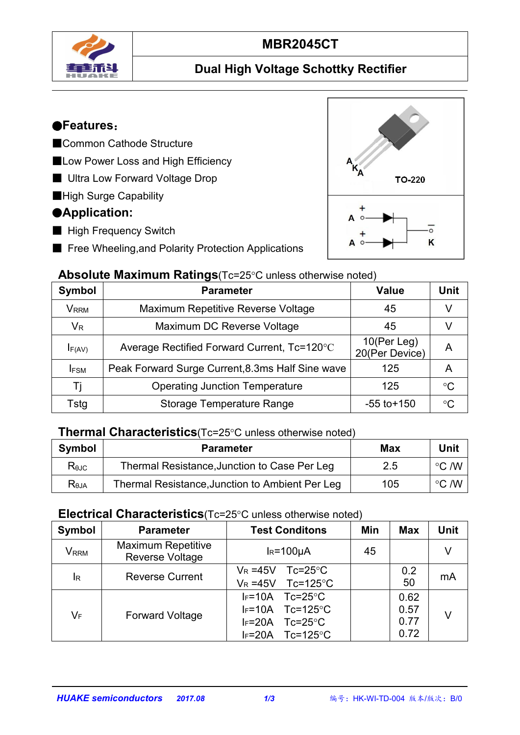

# **MBR2045CT**

## **Dual High Voltage Schottky Rectifier**

## ●**Features**:

- ■Common Cathode Structure
- ■Low Power Loss and High Efficiency
- Ultra Low Forward Voltage Drop
- ■High Surge Capability

## ●**Application:**

- High Frequency Switch
- Free Wheeling, and Polarity Protection Applications



#### **Absolute Maximum Ratings**(Tc=25°C unless otherwise noted)

| Symbol      | <b>Parameter</b>                                 | <b>Value</b>                  |                 |  |
|-------------|--------------------------------------------------|-------------------------------|-----------------|--|
| <b>VRRM</b> | Maximum Repetitive Reverse Voltage               | 45                            |                 |  |
| $V_{R}$     | Maximum DC Reverse Voltage                       | 45                            |                 |  |
| $I_{F(AV)}$ | Average Rectified Forward Current, Tc=120°C      | 10(Per Leg)<br>20(Per Device) | A               |  |
| <b>IFSM</b> | Peak Forward Surge Current, 8.3ms Half Sine wave | 125                           | A               |  |
|             | <b>Operating Junction Temperature</b>            | 125                           | $\rm ^{\circ}C$ |  |
| Tstg        | <b>Storage Temperature Range</b>                 | $-55$ to $+150$               | $\rm ^{\circ}C$ |  |

#### **Thermal Characteristics**(Tc=25°C unless otherwise noted)

| <b>Symbol</b>    | Parameter                                       | <b>Max</b> | <b>Unit</b>          |
|------------------|-------------------------------------------------|------------|----------------------|
| $R_{\theta$ JC   | Thermal Resistance, Junction to Case Per Leg    | 2.5        | $\degree$ C /W       |
| R <sub>bJA</sub> | Thermal Resistance, Junction to Ambient Per Leg | 105        | $\circ$ C /W $\circ$ |

#### **Electrical Characteristics**(Tc=25°C unless otherwise noted)

| Symbol                    | <b>Parameter</b>                             | <b>Test Conditons</b>                                                                                                      | Min | <b>Max</b>                   | <b>Unit</b> |
|---------------------------|----------------------------------------------|----------------------------------------------------------------------------------------------------------------------------|-----|------------------------------|-------------|
| V <sub>RRM</sub>          | <b>Maximum Repetitive</b><br>Reverse Voltage | $IR=100µA$                                                                                                                 | 45  |                              | V           |
| $I_R$                     | <b>Reverse Current</b>                       | $V_R = 45V$<br>$Tc = 25^{\circ}C$<br>Tc=125 $\degree$ C<br>$V_R = 45V$                                                     |     | 0.2<br>50                    | mA          |
| $\mathsf{V}_{\mathsf{F}}$ | <b>Forward Voltage</b>                       | $IF=10A$<br>$Tc = 25^{\circ}C$<br>$IF=10A$ Tc=125°C<br>$I_F = 20A$<br>$Tc = 25^{\circ}C$<br>Tc=125 $\degree$ C<br>$IF=20A$ |     | 0.62<br>0.57<br>0.77<br>0.72 | V           |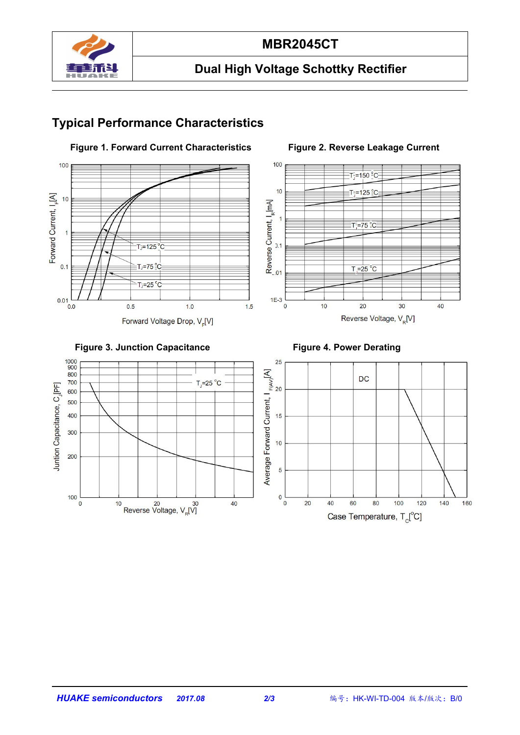

## **MBR2045CT**

## **Dual High Voltage Schottky Rectifier**

### **Typical Performance Characteristics**







700

200

100

Juntion Capacitance, C<sub>J</sub>[PF]